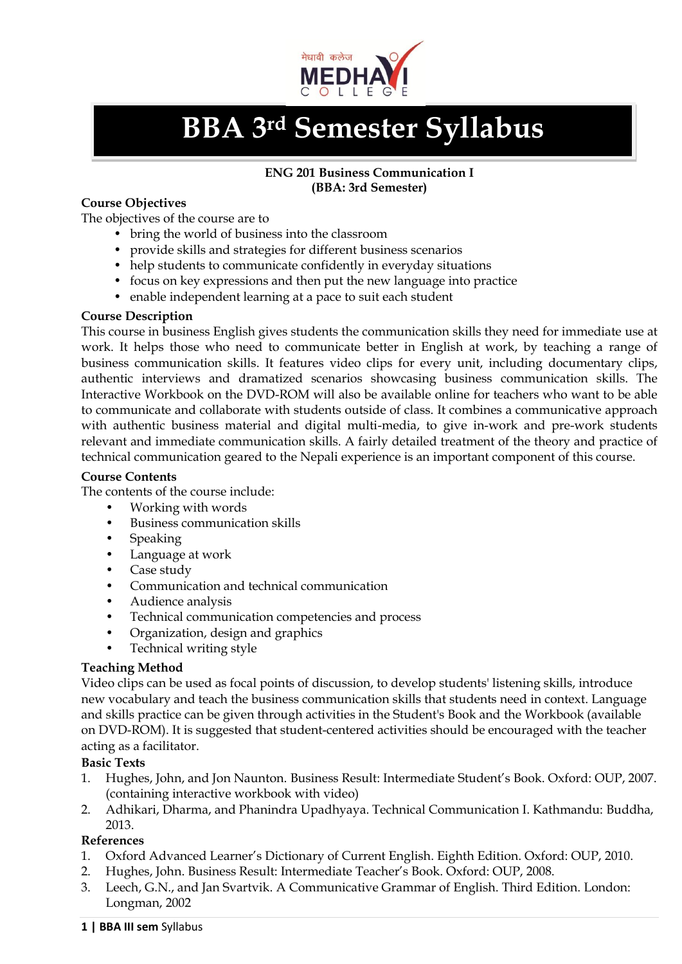

# **BBA 3rd Semester Syllabus**

## **ENG 201 Business Communication I (BBA: 3rd Semester)**

## **Course Objectives**

The objectives of the course are to

- bring the world of business into the classroom
- provide skills and strategies for different business scenarios
- help students to communicate confidently in everyday situations
- focus on key expressions and then put the new language into practice
- enable independent learning at a pace to suit each student

## **Course Description**

This course in business English gives students the communication skills they need for immediate use at work. It helps those who need to communicate better in English at work, by teaching a range of business communication skills. It features video clips for every unit, including documentary clips, authentic interviews and dramatized scenarios showcasing business communication skills. The Interactive Workbook on the DVD-ROM will also be available online for teachers who want to be able to communicate and collaborate with students outside of class. It combines a communicative approach with authentic business material and digital multi-media, to give in-work and pre-work students relevant and immediate communication skills. A fairly detailed treatment of the theory and practice of technical communication geared to the Nepali experience is an important component of this course.

## **Course Contents**

The contents of the course include:

- Working with words
- Business communication skills
- **Speaking**
- Language at work
- Case study
- Communication and technical communication
- Audience analysis
- Technical communication competencies and process
- Organization, design and graphics
- Technical writing style

## **Teaching Method**

Video clips can be used as focal points of discussion, to develop students' listening skills, introduce new vocabulary and teach the business communication skills that students need in context. Language and skills practice can be given through activities in the Student's Book and the Workbook (available on DVD-ROM). It is suggested that student-centered activities should be encouraged with the teacher acting as a facilitator.

## **Basic Texts**

- 1. Hughes, John, and Jon Naunton. Business Result: Intermediate Student's Book. Oxford: OUP, 2007. (containing interactive workbook with video)
- 2. Adhikari, Dharma, and Phanindra Upadhyaya. Technical Communication I. Kathmandu: Buddha, 2013.

- 1. Oxford Advanced Learner's Dictionary of Current English. Eighth Edition. Oxford: OUP, 2010.
- 2. Hughes, John. Business Result: Intermediate Teacher's Book. Oxford: OUP, 2008.
- 3. Leech, G.N., and Jan Svartvik. A Communicative Grammar of English. Third Edition. London: Longman, 2002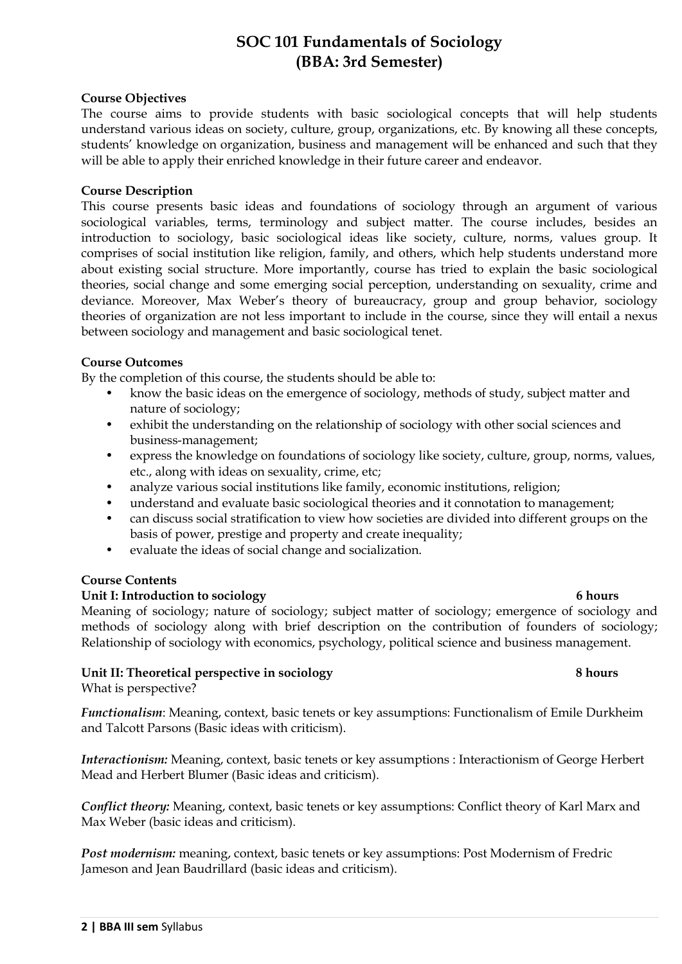## **SOC 101 Fundamentals of Sociology (BBA: 3rd Semester)**

## **Course Objectives**

The course aims to provide students with basic sociological concepts that will help students understand various ideas on society, culture, group, organizations, etc. By knowing all these concepts, students' knowledge on organization, business and management will be enhanced and such that they will be able to apply their enriched knowledge in their future career and endeavor.

## **Course Description**

This course presents basic ideas and foundations of sociology through an argument of various sociological variables, terms, terminology and subject matter. The course includes, besides an introduction to sociology, basic sociological ideas like society, culture, norms, values group. It comprises of social institution like religion, family, and others, which help students understand more about existing social structure. More importantly, course has tried to explain the basic sociological theories, social change and some emerging social perception, understanding on sexuality, crime and deviance. Moreover, Max Weber's theory of bureaucracy, group and group behavior, sociology theories of organization are not less important to include in the course, since they will entail a nexus between sociology and management and basic sociological tenet.

## **Course Outcomes**

By the completion of this course, the students should be able to:

- know the basic ideas on the emergence of sociology, methods of study, subject matter and nature of sociology;
- exhibit the understanding on the relationship of sociology with other social sciences and business-management;
- express the knowledge on foundations of sociology like society, culture, group, norms, values, etc., along with ideas on sexuality, crime, etc;
- analyze various social institutions like family, economic institutions, religion;
- understand and evaluate basic sociological theories and it connotation to management;
- can discuss social stratification to view how societies are divided into different groups on the basis of power, prestige and property and create inequality;
- evaluate the ideas of social change and socialization.

## **Course Contents**

## Unit I: Introduction to sociology 6 hours

Meaning of sociology; nature of sociology; subject matter of sociology; emergence of sociology and methods of sociology along with brief description on the contribution of founders of sociology; Relationship of sociology with economics, psychology, political science and business management.

## **Unit II: Theoretical perspective in sociology 8 hours**

What is perspective?

*Functionalism*: Meaning, context, basic tenets or key assumptions: Functionalism of Emile Durkheim and Talcott Parsons (Basic ideas with criticism).

*Interactionism:* Meaning, context, basic tenets or key assumptions : Interactionism of George Herbert Mead and Herbert Blumer (Basic ideas and criticism).

*Conflict theory:* Meaning, context, basic tenets or key assumptions: Conflict theory of Karl Marx and Max Weber (basic ideas and criticism).

*Post modernism:* meaning, context, basic tenets or key assumptions: Post Modernism of Fredric Jameson and Jean Baudrillard (basic ideas and criticism).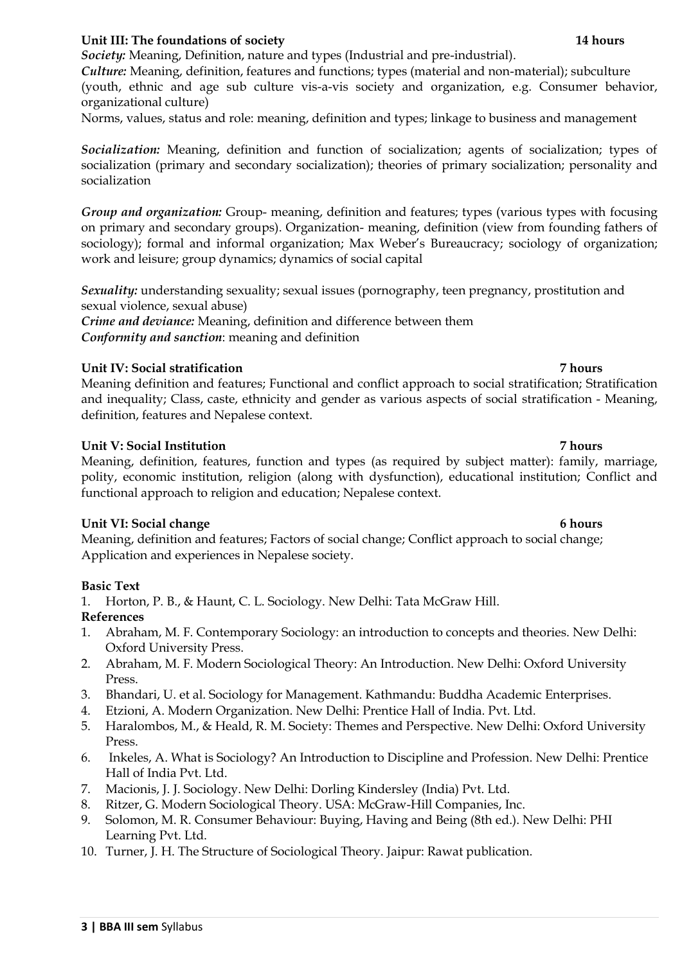## **Unit III: The foundations of society 14 hours** 14 hours

*Society:* Meaning, Definition, nature and types (Industrial and pre-industrial).

*Culture:* Meaning, definition, features and functions; types (material and non-material); subculture (youth, ethnic and age sub culture vis-a-vis society and organization, e.g. Consumer behavior, organizational culture)

Norms, values, status and role: meaning, definition and types; linkage to business and management

*Socialization:* Meaning, definition and function of socialization; agents of socialization; types of socialization (primary and secondary socialization); theories of primary socialization; personality and socialization

*Group and organization:* Group- meaning, definition and features; types (various types with focusing on primary and secondary groups). Organization- meaning, definition (view from founding fathers of sociology); formal and informal organization; Max Weber's Bureaucracy; sociology of organization; work and leisure; group dynamics; dynamics of social capital

*Sexuality:* understanding sexuality; sexual issues (pornography, teen pregnancy, prostitution and sexual violence, sexual abuse)

*Crime and deviance:* Meaning, definition and difference between them *Conformity and sanction*: meaning and definition

## **Unit IV: Social stratification 7 hours**

Meaning definition and features; Functional and conflict approach to social stratification; Stratification and inequality; Class, caste, ethnicity and gender as various aspects of social stratification - Meaning, definition, features and Nepalese context.

## **Unit V: Social Institution 7 hours**

Meaning, definition, features, function and types (as required by subject matter): family, marriage, polity, economic institution, religion (along with dysfunction), educational institution; Conflict and functional approach to religion and education; Nepalese context.

## **Unit VI: Social change 6 hours** 6 hours

Meaning, definition and features; Factors of social change; Conflict approach to social change; Application and experiences in Nepalese society.

## **Basic Text**

1. Horton, P. B., & Haunt, C. L. Sociology. New Delhi: Tata McGraw Hill.

## **References**

- 1. Abraham, M. F. Contemporary Sociology: an introduction to concepts and theories. New Delhi: Oxford University Press.
- 2. Abraham, M. F. Modern Sociological Theory: An Introduction. New Delhi: Oxford University Press.
- 3. Bhandari, U. et al. Sociology for Management. Kathmandu: Buddha Academic Enterprises.
- 4. Etzioni, A. Modern Organization. New Delhi: Prentice Hall of India. Pvt. Ltd.
- 5. Haralombos, M., & Heald, R. M. Society: Themes and Perspective. New Delhi: Oxford University Press.
- 6. Inkeles, A. What is Sociology? An Introduction to Discipline and Profession. New Delhi: Prentice Hall of India Pvt. Ltd.
- 7. Macionis, J. J. Sociology. New Delhi: Dorling Kindersley (India) Pvt. Ltd.
- 8. Ritzer, G. Modern Sociological Theory. USA: McGraw-Hill Companies, Inc.
- 9. Solomon, M. R. Consumer Behaviour: Buying, Having and Being (8th ed.). New Delhi: PHI Learning Pvt. Ltd.
- 10. Turner, J. H. The Structure of Sociological Theory. Jaipur: Rawat publication.

## **3 | BBA III sem** Syllabus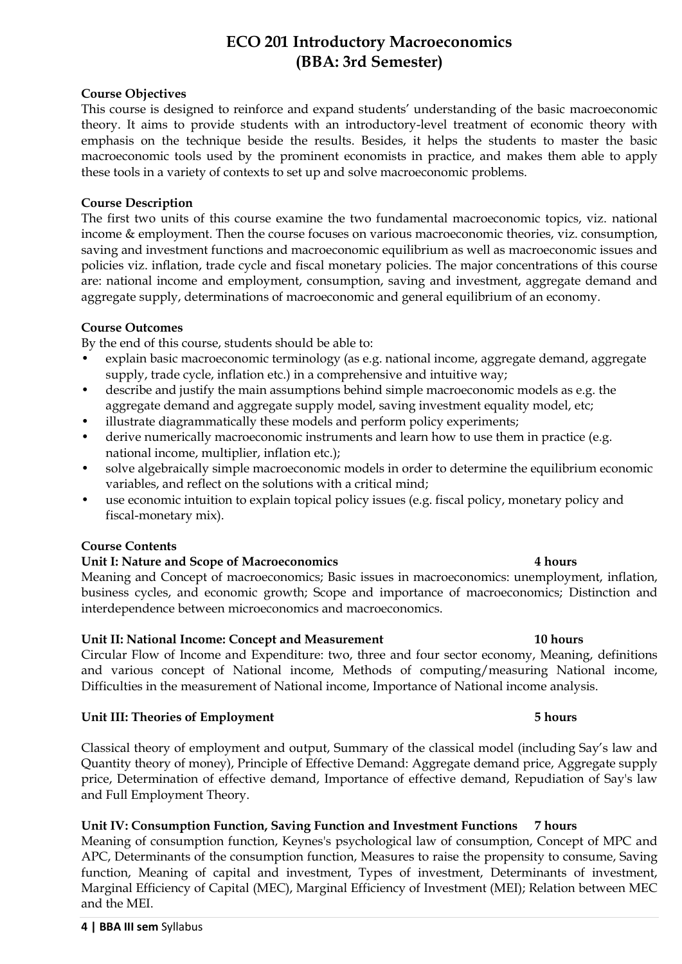## **ECO 201 Introductory Macroeconomics (BBA: 3rd Semester)**

## **Course Objectives**

This course is designed to reinforce and expand students' understanding of the basic macroeconomic theory. It aims to provide students with an introductory-level treatment of economic theory with emphasis on the technique beside the results. Besides, it helps the students to master the basic macroeconomic tools used by the prominent economists in practice, and makes them able to apply these tools in a variety of contexts to set up and solve macroeconomic problems.

## **Course Description**

The first two units of this course examine the two fundamental macroeconomic topics, viz. national income & employment. Then the course focuses on various macroeconomic theories, viz. consumption, saving and investment functions and macroeconomic equilibrium as well as macroeconomic issues and policies viz. inflation, trade cycle and fiscal monetary policies. The major concentrations of this course are: national income and employment, consumption, saving and investment, aggregate demand and aggregate supply, determinations of macroeconomic and general equilibrium of an economy.

## **Course Outcomes**

By the end of this course, students should be able to:

- explain basic macroeconomic terminology (as e.g. national income, aggregate demand, aggregate supply, trade cycle, inflation etc.) in a comprehensive and intuitive way;
- describe and justify the main assumptions behind simple macroeconomic models as e.g. the aggregate demand and aggregate supply model, saving investment equality model, etc;
- illustrate diagrammatically these models and perform policy experiments;
- derive numerically macroeconomic instruments and learn how to use them in practice (e.g. national income, multiplier, inflation etc.);
- solve algebraically simple macroeconomic models in order to determine the equilibrium economic variables, and reflect on the solutions with a critical mind;
- use economic intuition to explain topical policy issues (e.g. fiscal policy, monetary policy and fiscal-monetary mix).

## **Course Contents**

## **Unit I: Nature and Scope of Macroeconomics 4 hours**

Meaning and Concept of macroeconomics; Basic issues in macroeconomics: unemployment, inflation, business cycles, and economic growth; Scope and importance of macroeconomics; Distinction and interdependence between microeconomics and macroeconomics.

## **Unit II: National Income: Concept and Measurement 10 hours** 10 hours

Circular Flow of Income and Expenditure: two, three and four sector economy, Meaning, definitions and various concept of National income, Methods of computing/measuring National income, Difficulties in the measurement of National income, Importance of National income analysis.

## **Unit III: Theories of Employment 5 hours**

Classical theory of employment and output, Summary of the classical model (including Say's law and Quantity theory of money), Principle of Effective Demand: Aggregate demand price, Aggregate supply price, Determination of effective demand, Importance of effective demand, Repudiation of Say's law and Full Employment Theory.

## **Unit IV: Consumption Function, Saving Function and Investment Functions 7 hours**

Meaning of consumption function, Keynes's psychological law of consumption, Concept of MPC and APC, Determinants of the consumption function, Measures to raise the propensity to consume, Saving function, Meaning of capital and investment, Types of investment, Determinants of investment, Marginal Efficiency of Capital (MEC), Marginal Efficiency of Investment (MEI); Relation between MEC and the MEI.

## **4 | BBA III sem** Syllabus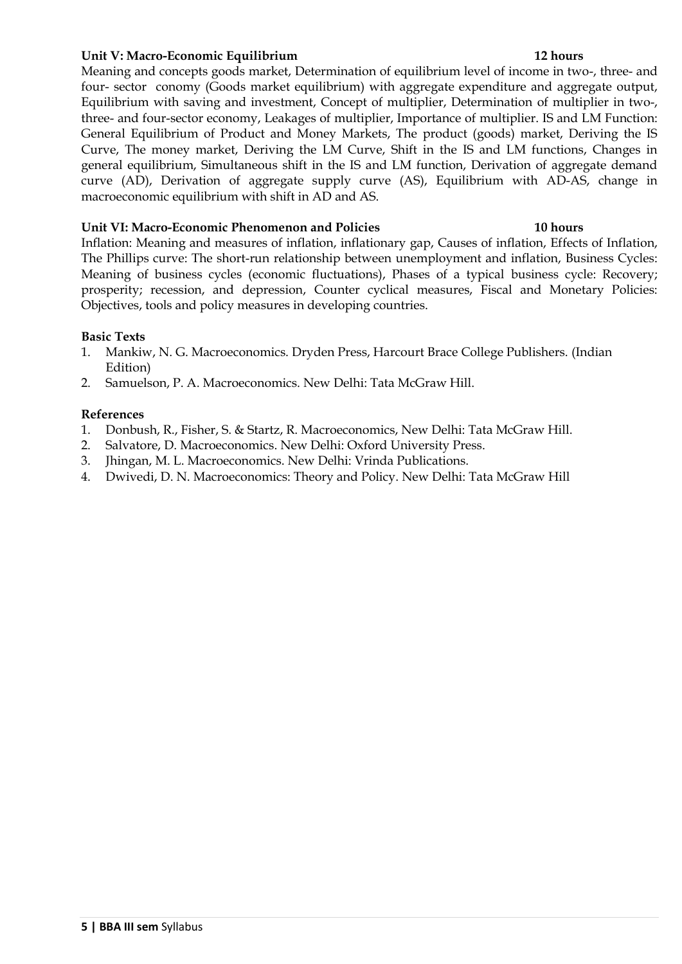## **Unit V: Macro-Economic Equilibrium 12 hours**

Meaning and concepts goods market, Determination of equilibrium level of income in two-, three- and four- sector conomy (Goods market equilibrium) with aggregate expenditure and aggregate output, Equilibrium with saving and investment, Concept of multiplier, Determination of multiplier in two-, three- and four-sector economy, Leakages of multiplier, Importance of multiplier. IS and LM Function: General Equilibrium of Product and Money Markets, The product (goods) market, Deriving the IS Curve, The money market, Deriving the LM Curve, Shift in the IS and LM functions, Changes in general equilibrium, Simultaneous shift in the IS and LM function, Derivation of aggregate demand curve (AD), Derivation of aggregate supply curve (AS), Equilibrium with AD-AS, change in macroeconomic equilibrium with shift in AD and AS.

## **Unit VI: Macro-Economic Phenomenon and Policies 10 hours**

Inflation: Meaning and measures of inflation, inflationary gap, Causes of inflation, Effects of Inflation, The Phillips curve: The short-run relationship between unemployment and inflation, Business Cycles: Meaning of business cycles (economic fluctuations), Phases of a typical business cycle: Recovery; prosperity; recession, and depression, Counter cyclical measures, Fiscal and Monetary Policies: Objectives, tools and policy measures in developing countries.

## **Basic Texts**

- 1. Mankiw, N. G. Macroeconomics. Dryden Press, Harcourt Brace College Publishers. (Indian Edition)
- 2. Samuelson, P. A. Macroeconomics. New Delhi: Tata McGraw Hill.

- 1. Donbush, R., Fisher, S. & Startz, R. Macroeconomics, New Delhi: Tata McGraw Hill.
- 2. Salvatore, D. Macroeconomics. New Delhi: Oxford University Press.
- 3. Jhingan, M. L. Macroeconomics. New Delhi: Vrinda Publications.
- 4. Dwivedi, D. N. Macroeconomics: Theory and Policy. New Delhi: Tata McGraw Hill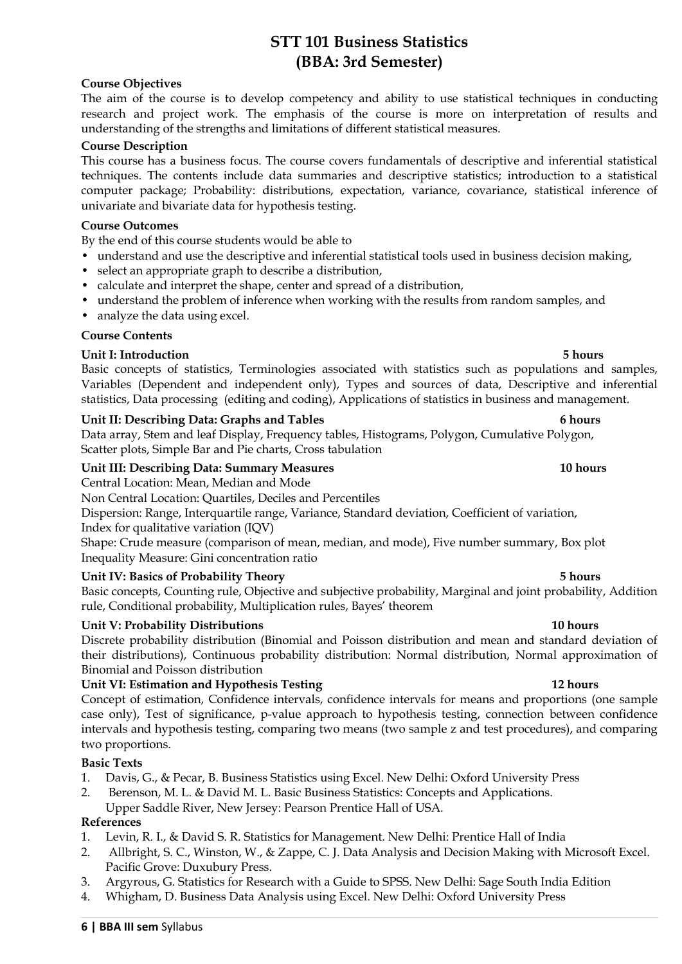## **STT 101 Business Statistics (BBA: 3rd Semester)**

## **Course Objectives**

The aim of the course is to develop competency and ability to use statistical techniques in conducting research and project work. The emphasis of the course is more on interpretation of results and understanding of the strengths and limitations of different statistical measures.

## **Course Description**

This course has a business focus. The course covers fundamentals of descriptive and inferential statistical techniques. The contents include data summaries and descriptive statistics; introduction to a statistical computer package; Probability: distributions, expectation, variance, covariance, statistical inference of univariate and bivariate data for hypothesis testing.

## **Course Outcomes**

By the end of this course students would be able to

- understand and use the descriptive and inferential statistical tools used in business decision making,
- select an appropriate graph to describe a distribution,
- calculate and interpret the shape, center and spread of a distribution,
- understand the problem of inference when working with the results from random samples, and
- analyze the data using excel.

## **Course Contents**

## **Unit I: Introduction 5 hours**

Basic concepts of statistics, Terminologies associated with statistics such as populations and samples, Variables (Dependent and independent only), Types and sources of data, Descriptive and inferential statistics, Data processing (editing and coding), Applications of statistics in business and management.

## **Unit II: Describing Data: Graphs and Tables 6 hours**

Data array, Stem and leaf Display, Frequency tables, Histograms, Polygon, Cumulative Polygon, Scatter plots, Simple Bar and Pie charts, Cross tabulation

## **Unit III: Describing Data: Summary Measures 10 hours** 10 hours

Central Location: Mean, Median and Mode

Non Central Location: Quartiles, Deciles and Percentiles

Dispersion: Range, Interquartile range, Variance, Standard deviation, Coefficient of variation, Index for qualitative variation (IQV)

Shape: Crude measure (comparison of mean, median, and mode), Five number summary, Box plot Inequality Measure: Gini concentration ratio

## **Unit IV: Basics of Probability Theory 5 hours**

Basic concepts, Counting rule, Objective and subjective probability, Marginal and joint probability, Addition rule, Conditional probability, Multiplication rules, Bayes' theorem

## **Unit V: Probability Distributions 10 hours** 10 hours

Discrete probability distribution (Binomial and Poisson distribution and mean and standard deviation of their distributions), Continuous probability distribution: Normal distribution, Normal approximation of Binomial and Poisson distribution

## **Unit VI: Estimation and Hypothesis Testing 12 hours**

Concept of estimation, Confidence intervals, confidence intervals for means and proportions (one sample case only), Test of significance, p-value approach to hypothesis testing, connection between confidence intervals and hypothesis testing, comparing two means (two sample z and test procedures), and comparing two proportions.

## **Basic Texts**

- 1. Davis, G., & Pecar, B. Business Statistics using Excel. New Delhi: Oxford University Press
- 2. Berenson, M. L. & David M. L. Basic Business Statistics: Concepts and Applications.
- Upper Saddle River, New Jersey: Pearson Prentice Hall of USA.

- 1. Levin, R. I., & David S. R. Statistics for Management. New Delhi: Prentice Hall of India
- 2. Allbright, S. C., Winston, W., & Zappe, C. J. Data Analysis and Decision Making with Microsoft Excel. Pacific Grove: Duxubury Press.
- 3. Argyrous, G. Statistics for Research with a Guide to SPSS. New Delhi: Sage South India Edition
- 4. Whigham, D. Business Data Analysis using Excel. New Delhi: Oxford University Press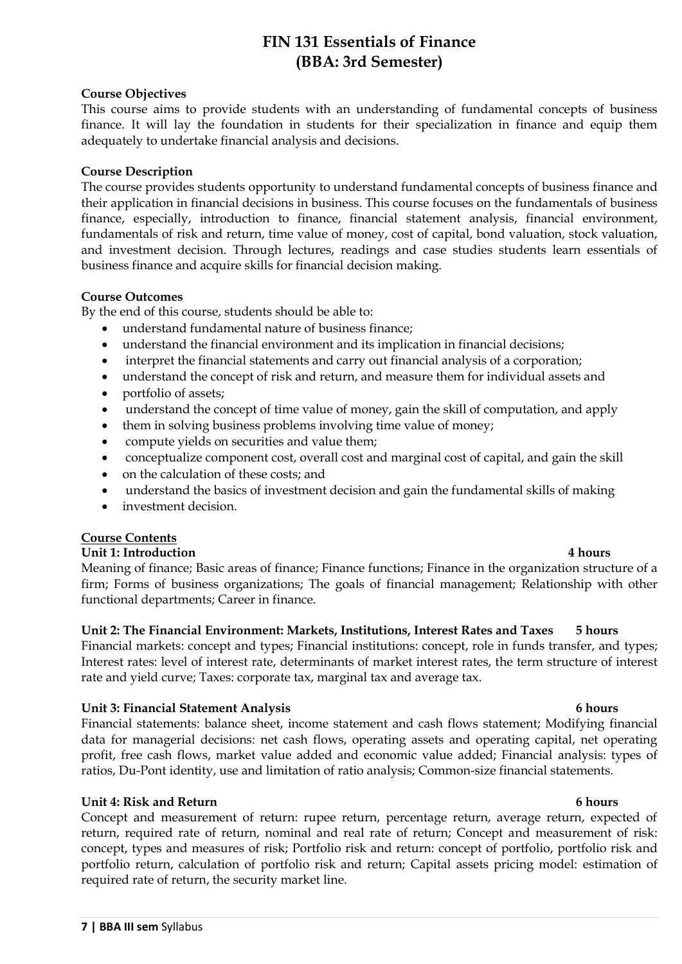## **FIN 131 Essentials of Finance (BBA: 3rd Semester)**

## **Course Objectives**

This course aims to provide students with an understanding of fundamental concepts of business finance. It will lay the foundation in students for their specialization in finance and equip them adequately to undertake financial analysis and decisions.

## **Course Description**

The course provides students opportunity to understand fundamental concepts of business finance and their application in financial decisions in business. This course focuses on the fundamentals of business finance, especially, introduction to finance, financial statement analysis, financial environment, fundamentals of risk and return, time value of money, cost of capital, bond valuation, stock valuation, and investment decision. Through lectures, readings and case studies students learn essentials of business finance and acquire skills for financial decision making.

## **Course Outcomes**

By the end of this course, students should be able to:

- understand fundamental nature of business finance;
- understand the financial environment and its implication in financial decisions;
- interpret the financial statements and carry out financial analysis of a corporation;
- understand the concept of risk and return, and measure them for individual assets and
- portfolio of assets;
- understand the concept of time value of money, gain the skill of computation, and apply
- them in solving business problems involving time value of money;
- compute yields on securities and value them;
- conceptualize component cost, overall cost and marginal cost of capital, and gain the skill
- on the calculation of these costs; and
- understand the basics of investment decision and gain the fundamental skills of making
- investment decision.

## **Course Contents**

## **Unit 1: Introduction 4 hours**

Meaning of finance; Basic areas of finance; Finance functions; Finance in the organization structure of a firm; Forms of business organizations; The goals of financial management; Relationship with other functional departments; Career in finance.

## **Unit 2: The Financial Environment: Markets, Institutions, Interest Rates and Taxes 5 hours**

Financial markets: concept and types; Financial institutions: concept, role in funds transfer, and types; Interest rates: level of interest rate, determinants of market interest rates, the term structure of interest rate and yield curve; Taxes: corporate tax, marginal tax and average tax.

## **Unit 3: Financial Statement Analysis 6 hours**

Financial statements: balance sheet, income statement and cash flows statement; Modifying financial data for managerial decisions: net cash flows, operating assets and operating capital, net operating profit, free cash flows, market value added and economic value added; Financial analysis: types of ratios, Du-Pont identity, use and limitation of ratio analysis; Common-size financial statements.

## **Unit 4: Risk and Return 6 hours**

Concept and measurement of return: rupee return, percentage return, average return, expected of return, required rate of return, nominal and real rate of return; Concept and measurement of risk: concept, types and measures of risk; Portfolio risk and return: concept of portfolio, portfolio risk and portfolio return, calculation of portfolio risk and return; Capital assets pricing model: estimation of required rate of return, the security market line.